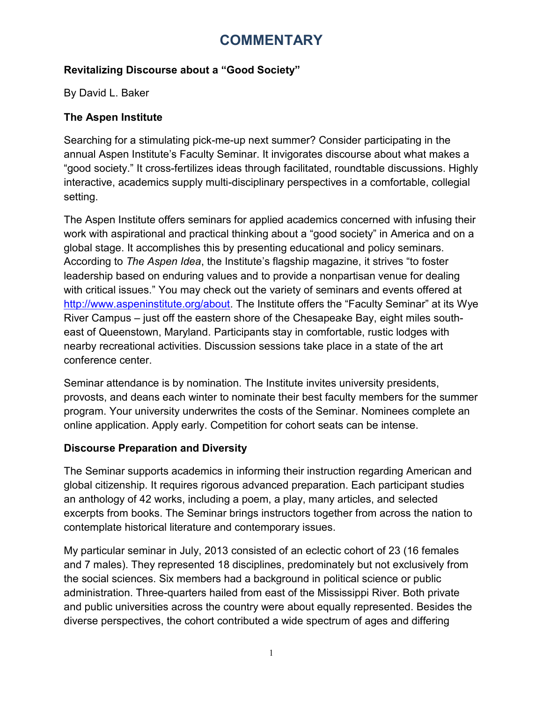## **COMMENTARY**

### **Revitalizing Discourse about a "Good Society"**

By David L. Baker

#### **The Aspen Institute**

Searching for a stimulating pick-me-up next summer? Consider participating in the annual Aspen Institute's Faculty Seminar. It invigorates discourse about what makes a "good society." It cross-fertilizes ideas through facilitated, roundtable discussions. Highly interactive, academics supply multi-disciplinary perspectives in a comfortable, collegial setting.

The Aspen Institute offers seminars for applied academics concerned with infusing their work with aspirational and practical thinking about a "good society" in America and on a global stage. It accomplishes this by presenting educational and policy seminars. According to *The Aspen Idea*, the Institute's flagship magazine, it strives "to foster leadership based on enduring values and to provide a nonpartisan venue for dealing with critical issues." You may check out the variety of seminars and events offered at [http://www.aspeninstitute.org/about.](http://www.aspeninstitute.org/about) The Institute offers the "Faculty Seminar" at its Wye River Campus – just off the eastern shore of the Chesapeake Bay, eight miles southeast of Queenstown, Maryland. Participants stay in comfortable, rustic lodges with nearby recreational activities. Discussion sessions take place in a state of the art conference center.

Seminar attendance is by nomination. The Institute invites university presidents, provosts, and deans each winter to nominate their best faculty members for the summer program. Your university underwrites the costs of the Seminar. Nominees complete an online application. Apply early. Competition for cohort seats can be intense.

#### **Discourse Preparation and Diversity**

The Seminar supports academics in informing their instruction regarding American and global citizenship. It requires rigorous advanced preparation. Each participant studies an anthology of 42 works, including a poem, a play, many articles, and selected excerpts from books. The Seminar brings instructors together from across the nation to contemplate historical literature and contemporary issues.

My particular seminar in July, 2013 consisted of an eclectic cohort of 23 (16 females and 7 males). They represented 18 disciplines, predominately but not exclusively from the social sciences. Six members had a background in political science or public administration. Three-quarters hailed from east of the Mississippi River. Both private and public universities across the country were about equally represented. Besides the diverse perspectives, the cohort contributed a wide spectrum of ages and differing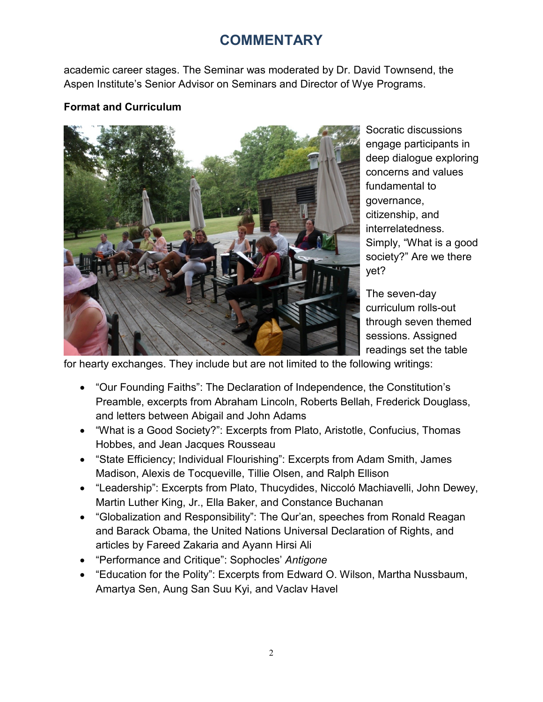# **COMMENTARY**

academic career stages. The Seminar was moderated by Dr. David Townsend, the Aspen Institute's Senior Advisor on Seminars and Director of Wye Programs.

### **Format and Curriculum**



Socratic discussions engage participants in deep dialogue exploring concerns and values fundamental to governance, citizenship, and interrelatedness. Simply, "What is a good society?" Are we there yet?

The seven-day curriculum rolls-out through seven themed sessions. Assigned readings set the table

for hearty exchanges. They include but are not limited to the following writings:

- "Our Founding Faiths": The Declaration of Independence, the Constitution's Preamble, excerpts from Abraham Lincoln, Roberts Bellah, Frederick Douglass, and letters between Abigail and John Adams
- "What is a Good Society?": Excerpts from Plato, Aristotle, Confucius, Thomas Hobbes, and Jean Jacques Rousseau
- "State Efficiency; Individual Flourishing": Excerpts from Adam Smith, James Madison, Alexis de Tocqueville, Tillie Olsen, and Ralph Ellison
- "Leadership": Excerpts from Plato, Thucydides, Niccoló Machiavelli, John Dewey, Martin Luther King, Jr., Ella Baker, and Constance Buchanan
- "Globalization and Responsibility": The Qur'an, speeches from Ronald Reagan and Barack Obama, the United Nations Universal Declaration of Rights, and articles by Fareed Zakaria and Ayann Hirsi Ali
- "Performance and Critique": Sophocles' *Antigone*
- "Education for the Polity": Excerpts from Edward O. Wilson, Martha Nussbaum, Amartya Sen, Aung San Suu Kyi, and Vaclav Havel